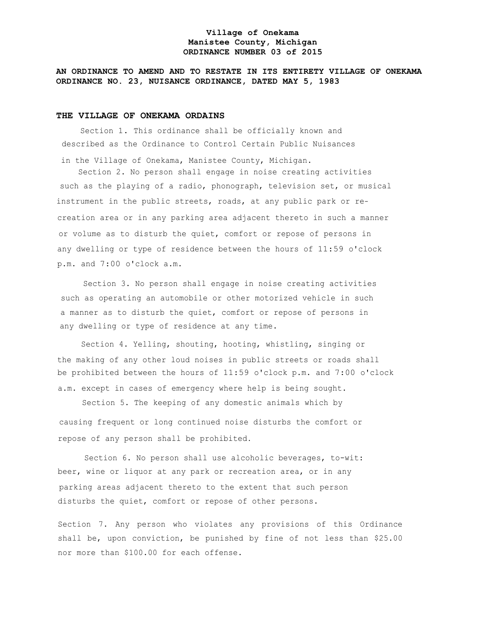## **Village of Onekama Manistee County, Michigan ORDINANCE NUMBER 03 of 2015**

# **AN ORDINANCE TO AMEND AND TO RESTATE IN ITS ENTIRETY VILLAGE OF ONEKAMA ORDINANCE NO. 23, NUISANCE ORDINANCE, DATED MAY 5, 1983**

## **THE VILLAGE OF ONEKAMA ORDAINS**

Section 1. This ordinance shall be officially known and described as the Ordinance to Control Certain Public Nuisances in the Village of Onekama, Manistee County, Michigan.

Section 2. No person shall engage in noise creating activities such as the playing of a radio, phonograph, television set, or musical instrument in the public streets, roads, at any public park or recreation area or in any parking area adjacent thereto in such a manner or volume as to disturb the quiet, comfort or repose of persons in any dwelling or type of residence between the hours of 11:59 o'clock p.m. and 7:00 o'clock a.m.

Section 3. No person shall engage in noise creating activities such as operating an automobile or other motorized vehicle in such a manner as to disturb the quiet, comfort or repose of persons in any dwelling or type of residence at any time.

Section 4. Yelling, shouting, hooting, whistling, singing or the making of any other loud noises in public streets or roads shall be prohibited between the hours of 11:59 o'clock p.m. and 7:00 o'clock a.m. except in cases of emergency where help is being sought.

Section 5. The keeping of any domestic animals which by causing frequent or long continued noise disturbs the comfort or repose of any person shall be prohibited.

Section 6. No person shall use alcoholic beverages, to-wit: beer, wine or liquor at any park or recreation area, or in any parking areas adjacent thereto to the extent that such person disturbs the quiet, comfort or repose of other persons.

Section 7. Any person who violates any provisions of this Ordinance shall be, upon conviction, be punished by fine of not less than \$25.00 nor more than \$100.00 for each offense.